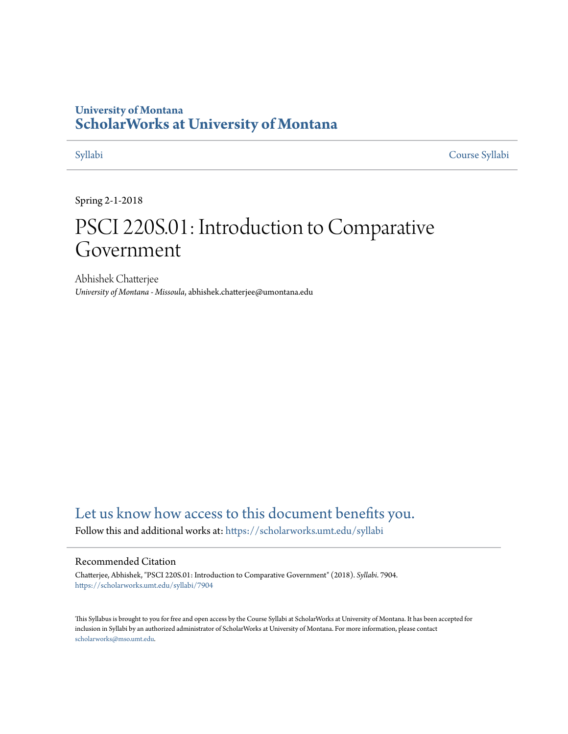# **University of Montana [ScholarWorks at University of Montana](https://scholarworks.umt.edu?utm_source=scholarworks.umt.edu%2Fsyllabi%2F7904&utm_medium=PDF&utm_campaign=PDFCoverPages)**

[Syllabi](https://scholarworks.umt.edu/syllabi?utm_source=scholarworks.umt.edu%2Fsyllabi%2F7904&utm_medium=PDF&utm_campaign=PDFCoverPages) [Course Syllabi](https://scholarworks.umt.edu/course_syllabi?utm_source=scholarworks.umt.edu%2Fsyllabi%2F7904&utm_medium=PDF&utm_campaign=PDFCoverPages)

Spring 2-1-2018

# PSCI 220S.01: Introduction to Comparative Government

Abhishek Chatterjee *University of Montana - Missoula*, abhishek.chatterjee@umontana.edu

# [Let us know how access to this document benefits you.](https://goo.gl/forms/s2rGfXOLzz71qgsB2)

Follow this and additional works at: [https://scholarworks.umt.edu/syllabi](https://scholarworks.umt.edu/syllabi?utm_source=scholarworks.umt.edu%2Fsyllabi%2F7904&utm_medium=PDF&utm_campaign=PDFCoverPages)

#### Recommended Citation

Chatterjee, Abhishek, "PSCI 220S.01: Introduction to Comparative Government" (2018). *Syllabi*. 7904. [https://scholarworks.umt.edu/syllabi/7904](https://scholarworks.umt.edu/syllabi/7904?utm_source=scholarworks.umt.edu%2Fsyllabi%2F7904&utm_medium=PDF&utm_campaign=PDFCoverPages)

This Syllabus is brought to you for free and open access by the Course Syllabi at ScholarWorks at University of Montana. It has been accepted for inclusion in Syllabi by an authorized administrator of ScholarWorks at University of Montana. For more information, please contact [scholarworks@mso.umt.edu](mailto:scholarworks@mso.umt.edu).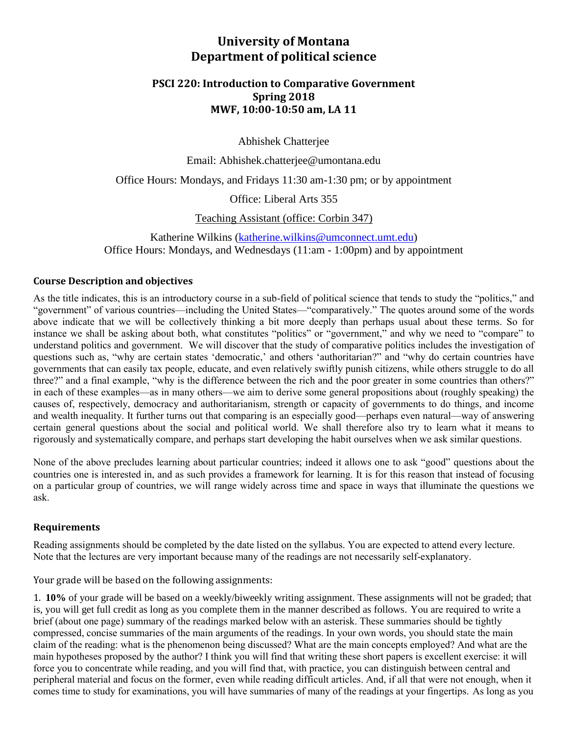# **University of Montana Department of political science**

### **PSCI 220: Introduction to Comparative Government Spring 2018 MWF, 10:00-10:50 am, LA 11**

Abhishek Chatterjee

Email: Abhishek.chatterjee@umontana.edu

Office Hours: Mondays, and Fridays 11:30 am-1:30 pm; or by appointment

Office: Liberal Arts 355

Teaching Assistant (office: Corbin 347)

Katherine Wilkins [\(katherine.wilkins@umconnect.umt.edu\)](mailto:adam.hobbs@umconnect.umt.edu) Office Hours: Mondays, and Wednesdays (11:am - 1:00pm) and by appointment

#### **Course Description and objectives**

As the title indicates, this is an introductory course in a sub-field of political science that tends to study the "politics," and "government" of various countries—including the United States—"comparatively." The quotes around some of the words above indicate that we will be collectively thinking a bit more deeply than perhaps usual about these terms. So for instance we shall be asking about both, what constitutes "politics" or "government," and why we need to "compare" to understand politics and government. We will discover that the study of comparative politics includes the investigation of questions such as, "why are certain states 'democratic,' and others 'authoritarian?" and "why do certain countries have governments that can easily tax people, educate, and even relatively swiftly punish citizens, while others struggle to do all three?" and a final example, "why is the difference between the rich and the poor greater in some countries than others?" in each of these examples—as in many others—we aim to derive some general propositions about (roughly speaking) the causes of, respectively, democracy and authoritarianism, strength or capacity of governments to do things, and income and wealth inequality. It further turns out that comparing is an especially good—perhaps even natural—way of answering certain general questions about the social and political world. We shall therefore also try to learn what it means to rigorously and systematically compare, and perhaps start developing the habit ourselves when we ask similar questions.

None of the above precludes learning about particular countries; indeed it allows one to ask "good" questions about the countries one is interested in, and as such provides a framework for learning. It is for this reason that instead of focusing on a particular group of countries, we will range widely across time and space in ways that illuminate the questions we ask.

#### **Requirements**

Reading assignments should be completed by the date listed on the syllabus. You are expected to attend every lecture. Note that the lectures are very important because many of the readings are not necessarily self-explanatory.

Your grade will be based on the following assignments:

1. **10%** of your grade will be based on a weekly/biweekly writing assignment. These assignments will not be graded; that is, you will get full credit as long as you complete them in the manner described as follows. You are required to write a brief (about one page) summary of the readings marked below with an asterisk. These summaries should be tightly compressed, concise summaries of the main arguments of the readings. In your own words, you should state the main claim of the reading: what is the phenomenon being discussed? What are the main concepts employed? And what are the main hypotheses proposed by the author? I think you will find that writing these short papers is excellent exercise: it will force you to concentrate while reading, and you will find that, with practice, you can distinguish between central and peripheral material and focus on the former, even while reading difficult articles. And, if all that were not enough, when it comes time to study for examinations, you will have summaries of many of the readings at your fingertips. As long as you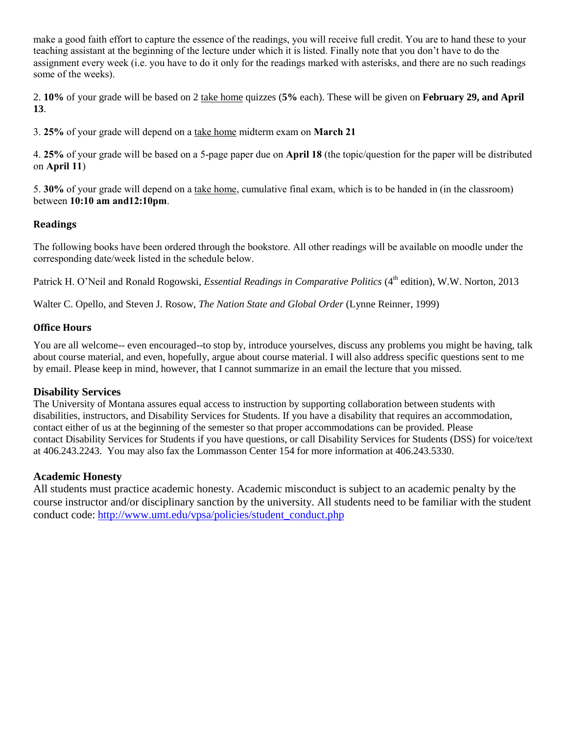make a good faith effort to capture the essence of the readings, you will receive full credit. You are to hand these to your teaching assistant at the beginning of the lecture under which it is listed. Finally note that you don't have to do the assignment every week (i.e. you have to do it only for the readings marked with asterisks, and there are no such readings some of the weeks).

2. **10%** of your grade will be based on 2 take home quizzes (**5%** each). These will be given on **February 29, and April 13**.

3. **25%** of your grade will depend on a take home midterm exam on **March 21**

4. **25%** of your grade will be based on a 5-page paper due on **April 18** (the topic/question for the paper will be distributed on **April 11**)

5. **30%** of your grade will depend on a take home, cumulative final exam, which is to be handed in (in the classroom) between **10:10 am and12:10pm**.

#### **Readings**

The following books have been ordered through the bookstore. All other readings will be available on moodle under the corresponding date/week listed in the schedule below.

Patrick H. O'Neil and Ronald Rogowski, *Essential Readings in Comparative Politics* (4<sup>th</sup> edition), W.W. Norton, 2013

Walter C. Opello, and Steven J. Rosow, *The Nation State and Global Order* (Lynne Reinner, 1999)

#### **Office Hours**

You are all welcome-- even encouraged--to stop by, introduce yourselves, discuss any problems you might be having, talk about course material, and even, hopefully, argue about course material. I will also address specific questions sent to me by email. Please keep in mind, however, that I cannot summarize in an email the lecture that you missed.

#### **Disability Services**

The University of Montana assures equal access to instruction by supporting collaboration between students with disabilities, instructors, and Disability Services for Students. If you have a disability that requires an accommodation, contact either of us at the beginning of the semester so that proper accommodations can be provided. Please contact [Disability Services for Students](http://life.umt.edu/dss/) if you have questions, or call Disability Services for Students (DSS) for voice/text at 406.243.2243. You may also fax the Lommasson Center 154 for more information at 406.243.5330.

#### **Academic Honesty**

All students must practice academic honesty. Academic misconduct is subject to an academic penalty by the course instructor and/or disciplinary sanction by the university. All students need to be familiar with the student conduct code: [http://www.umt.edu/vpsa/policies/student\\_conduct.php](http://www.umt.edu/vpsa/policies/student_conduct.php)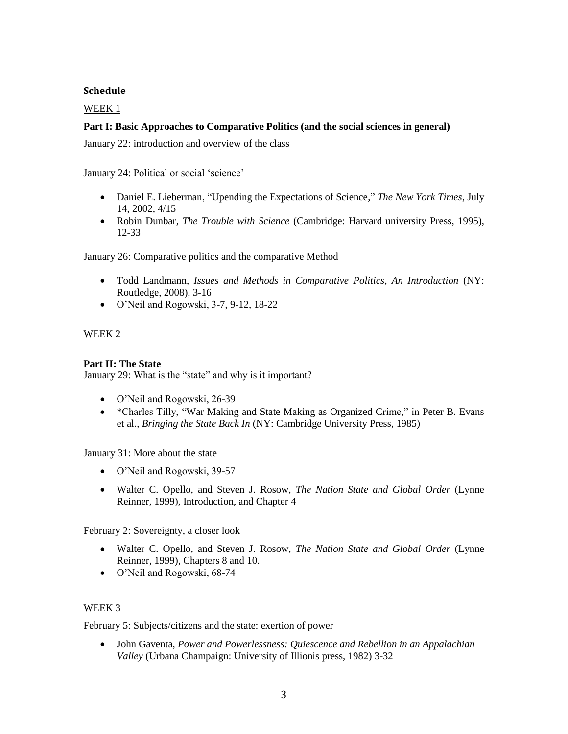#### **Schedule**

#### WEEK 1

#### **Part I: Basic Approaches to Comparative Politics (and the social sciences in general)**

January 22: introduction and overview of the class

January 24: Political or social 'science'

- Daniel E. Lieberman, "Upending the Expectations of Science," *The New York Times*, July 14, 2002, 4/15
- Robin Dunbar, *The Trouble with Science* (Cambridge: Harvard university Press, 1995), 12-33

January 26: Comparative politics and the comparative Method

- Todd Landmann, *Issues and Methods in Comparative Politics, An Introduction* (NY: Routledge, 2008), 3-16
- O'Neil and Rogowski, 3-7, 9-12, 18-22

#### WEEK 2

#### **Part II: The State**

January 29: What is the "state" and why is it important?

- O'Neil and Rogowski, 26-39
- \*Charles Tilly, "War Making and State Making as Organized Crime," in Peter B. Evans et al., *Bringing the State Back In* (NY: Cambridge University Press, 1985)

January 31: More about the state

- O'Neil and Rogowski, 39-57
- Walter C. Opello, and Steven J. Rosow, *The Nation State and Global Order* (Lynne Reinner, 1999), Introduction, and Chapter 4

February 2: Sovereignty, a closer look

- Walter C. Opello, and Steven J. Rosow, *The Nation State and Global Order* (Lynne Reinner, 1999), Chapters 8 and 10.
- O'Neil and Rogowski, 68-74

#### WEEK 3

February 5: Subjects/citizens and the state: exertion of power

 John Gaventa, *Power and Powerlessness: Quiescence and Rebellion in an Appalachian Valley* (Urbana Champaign: University of Illionis press, 1982) 3-32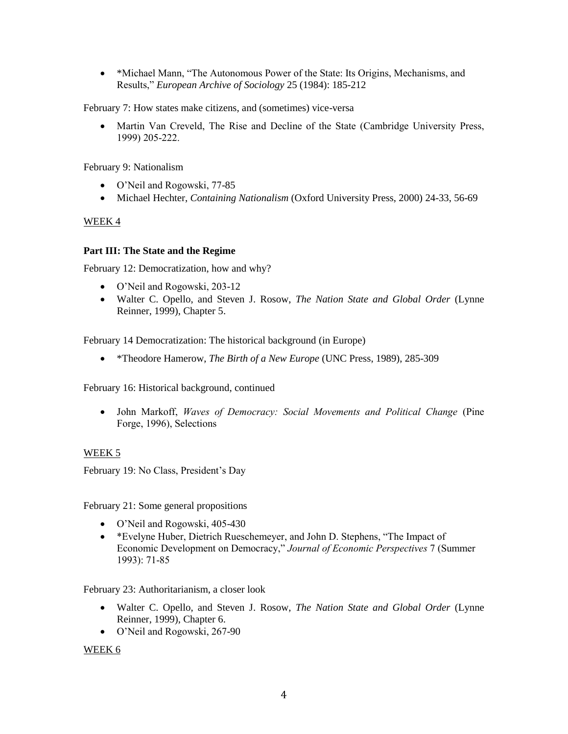• \*Michael Mann, "The Autonomous Power of the State: Its Origins, Mechanisms, and Results," *European Archive of Sociology* 25 (1984): 185-212

February 7: How states make citizens, and (sometimes) vice-versa

• Martin Van Creveld, The Rise and Decline of the State (Cambridge University Press, 1999) 205-222.

February 9: Nationalism

- O'Neil and Rogowski, 77-85
- Michael Hechter, *Containing Nationalism* (Oxford University Press, 2000) 24-33, 56-69

#### WEEK 4

#### **Part III: The State and the Regime**

February 12: Democratization, how and why?

- O'Neil and Rogowski, 203-12
- Walter C. Opello, and Steven J. Rosow, *The Nation State and Global Order* (Lynne Reinner, 1999), Chapter 5.

February 14 Democratization: The historical background (in Europe)

\*Theodore Hamerow, *The Birth of a New Europe* (UNC Press, 1989), 285-309

February 16: Historical background, continued

 John Markoff, *Waves of Democracy: Social Movements and Political Change* (Pine Forge, 1996), Selections

#### WEEK 5

February 19: No Class, President's Day

February 21: Some general propositions

- O'Neil and Rogowski, 405-430
- \*Evelyne Huber, Dietrich Rueschemeyer, and John D. Stephens, "The Impact of Economic Development on Democracy," *Journal of Economic Perspectives* 7 (Summer 1993): 71-85

February 23: Authoritarianism, a closer look

- Walter C. Opello, and Steven J. Rosow, *The Nation State and Global Order* (Lynne Reinner, 1999), Chapter 6.
- O'Neil and Rogowski, 267-90

#### WEEK 6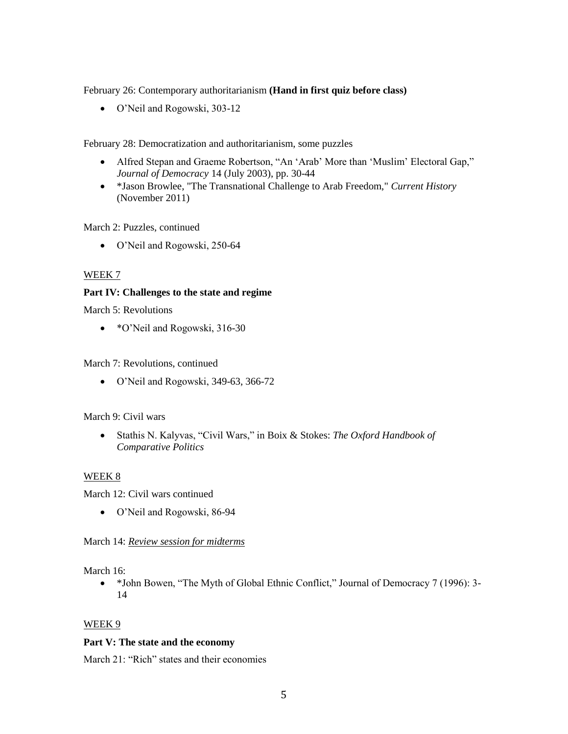February 26: Contemporary authoritarianism **(Hand in first quiz before class)**

O'Neil and Rogowski, 303-12

February 28: Democratization and authoritarianism, some puzzles

- Alfred Stepan and Graeme Robertson, "An 'Arab' More than 'Muslim' Electoral Gap," *Journal of Democracy* 14 (July 2003), pp. 30-44
- \*Jason Browlee, "The Transnational Challenge to Arab Freedom," *Current History* (November 2011)

March 2: Puzzles, continued

O'Neil and Rogowski, 250-64

#### WEEK 7

#### **Part IV: Challenges to the state and regime**

March 5: Revolutions

• \*O'Neil and Rogowski, 316-30

March 7: Revolutions, continued

O'Neil and Rogowski, 349-63, 366-72

#### March 9: Civil wars

 Stathis N. Kalyvas, "Civil Wars," in Boix & Stokes: *The Oxford Handbook of Comparative Politics*

#### WEEK 8

March 12: Civil wars continued

O'Neil and Rogowski, 86-94

#### March 14: *Review session for midterms*

March 16:

• \*John Bowen, "The Myth of Global Ethnic Conflict," Journal of Democracy 7 (1996): 3-14

#### WEEK 9

#### **Part V: The state and the economy**

March 21: "Rich" states and their economies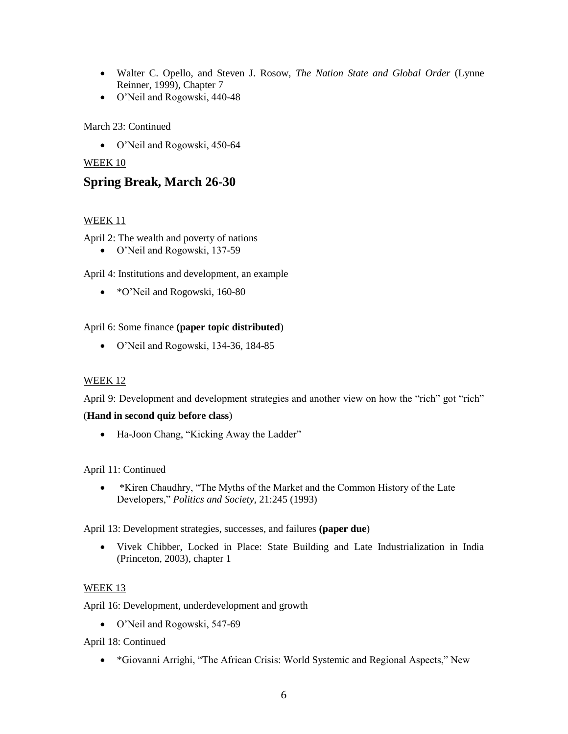- Walter C. Opello, and Steven J. Rosow, *The Nation State and Global Order* (Lynne Reinner, 1999), Chapter 7
- O'Neil and Rogowski, 440-48

March 23: Continued

O'Neil and Rogowski, 450-64

### WEEK 10

# **Spring Break, March 26-30**

#### WEEK 11

April 2: The wealth and poverty of nations

O'Neil and Rogowski, 137-59

April 4: Institutions and development, an example

• \*O'Neil and Rogowski, 160-80

#### April 6: Some finance **(paper topic distributed**)

O'Neil and Rogowski, 134-36, 184-85

#### WEEK 12

April 9: Development and development strategies and another view on how the "rich" got "rich"

#### (**Hand in second quiz before class**)

• Ha-Joon Chang, "Kicking Away the Ladder"

#### April 11: Continued

 \*Kiren Chaudhry, "The Myths of the Market and the Common History of the Late Developers," *Politics and Society*, 21:245 (1993)

April 13: Development strategies, successes, and failures **(paper due**)

 Vivek Chibber, Locked in Place: State Building and Late Industrialization in India (Princeton, 2003), chapter 1

#### WEEK 13

April 16: Development, underdevelopment and growth

O'Neil and Rogowski, 547-69

April 18: Continued

\*Giovanni Arrighi, "The African Crisis: World Systemic and Regional Aspects," New